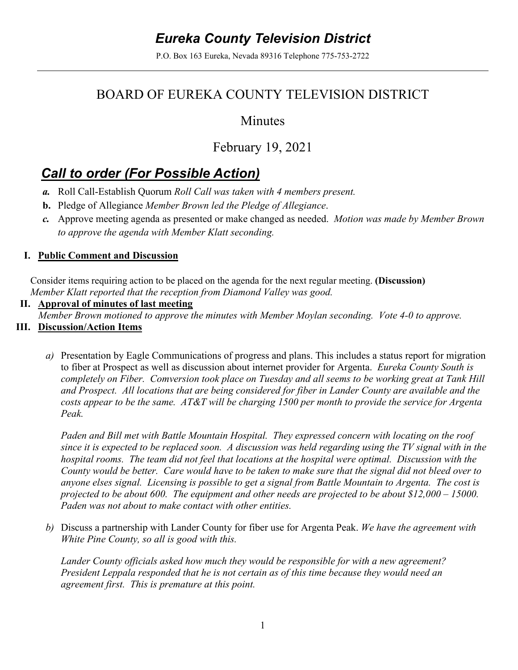# *Eureka County Television District*

P.O. Box 163 Eureka, Nevada 89316 Telephone 775-753-2722

## BOARD OF EUREKA COUNTY TELEVISION DISTRICT

### Minutes

## February 19, 2021

# *Call to order (For Possible Action)*

- *a.* Roll Call-Establish Quorum *Roll Call was taken with 4 members present.*
- **b.** Pledge of Allegiance *Member Brown led the Pledge of Allegiance*.
- *c.* Approve meeting agenda as presented or make changed as needed. *Motion was made by Member Brown to approve the agenda with Member Klatt seconding.*

#### **I. Public Comment and Discussion**

Consider items requiring action to be placed on the agenda for the next regular meeting. **(Discussion)**  *Member Klatt reported that the reception from Diamond Valley was good.* 

#### **II. Approval of minutes of last meeting**

*Member Brown motioned to approve the minutes with Member Moylan seconding. Vote 4-0 to approve.* 

### **III. Discussion/Action Items**

*a)* Presentation by Eagle Communications of progress and plans. This includes a status report for migration to fiber at Prospect as well as discussion about internet provider for Argenta. *Eureka County South is completely on Fiber. Comversion took place on Tuesday and all seems to be working great at Tank Hill and Prospect. All locations that are being considered for fiber in Lander County are available and the costs appear to be the same. AT&T will be charging 1500 per month to provide the service for Argenta Peak.* 

*Paden and Bill met with Battle Mountain Hospital. They expressed concern with locating on the roof since it is expected to be replaced soon. A discussion was held regarding using the TV signal with in the hospital rooms. The team did not feel that locations at the hospital were optimal. Discussion with the County would be better. Care would have to be taken to make sure that the signal did not bleed over to anyone elses signal. Licensing is possible to get a signal from Battle Mountain to Argenta. The cost is projected to be about 600. The equipment and other needs are projected to be about \$12,000 – 15000. Paden was not about to make contact with other entities.* 

*b)* Discuss a partnership with Lander County for fiber use for Argenta Peak. *We have the agreement with White Pine County, so all is good with this.* 

*Lander County officials asked how much they would be responsible for with a new agreement? President Leppala responded that he is not certain as of this time because they would need an agreement first. This is premature at this point.*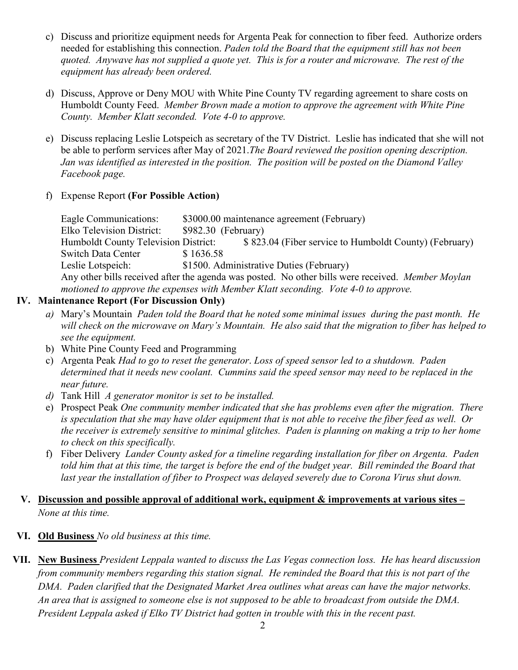- c) Discuss and prioritize equipment needs for Argenta Peak for connection to fiber feed. Authorize orders needed for establishing this connection. *Paden told the Board that the equipment still has not been quoted. Anywave has not supplied a quote yet. This is for a router and microwave. The rest of the equipment has already been ordered.*
- d) Discuss, Approve or Deny MOU with White Pine County TV regarding agreement to share costs on Humboldt County Feed.*Member Brown made a motion to approve the agreement with White Pine County. Member Klatt seconded. Vote 4-0 to approve.*
- e) Discuss replacing Leslie Lotspeich as secretary of the TV District. Leslie has indicated that she will not be able to perform services after May of 2021.*The Board reviewed the position opening description. Jan was identified as interested in the position. The position will be posted on the Diamond Valley Facebook page.*
- f) Expense Report **(For Possible Action)**

Eagle Communications: \$3000.00 maintenance agreement (February) Elko Television District: \$982.30 (February) Humboldt County Television District: \$ 823.04 (Fiber service to Humboldt County) (February) Switch Data Center \$ 1636.58 Leslie Lotspeich: \$1500. Administrative Duties (February) Any other bills received after the agenda was posted. No other bills were received. *Member Moylan motioned to approve the expenses with Member Klatt seconding. Vote 4-0 to approve.* 

#### **IV. Maintenance Report (For Discussion Only)**

- *a)* Mary's Mountain *Paden told the Board that he noted some minimal issues during the past month. He will check on the microwave on Mary's Mountain. He also said that the migration to fiber has helped to see the equipment.*
- b) White Pine County Feed and Programming
- c) Argenta Peak *Had to go to reset the generator*. *Loss of speed sensor led to a shutdown. Paden determined that it needs new coolant. Cummins said the speed sensor may need to be replaced in the near future.*
- *d)* Tank Hill *A generator monitor is set to be installed.*
- e) Prospect Peak *One community member indicated that she has problems even after the migration. There is speculation that she may have older equipment that is not able to receive the fiber feed as well. Or the receiver is extremely sensitive to minimal glitches. Paden is planning on making a trip to her home to check on this specifically.*
- f) Fiber Delivery *Lander County asked for a timeline regarding installation for fiber on Argenta. Paden told him that at this time, the target is before the end of the budget year. Bill reminded the Board that*  last year the installation of fiber to Prospect was delayed severely due to Corona Virus shut down.

#### **V. Discussion and possible approval of additional work, equipment & improvements at various sites –** *None at this time.*

- **VI. Old Business** *No old business at this time.*
- **VII. New Business** *President Leppala wanted to discuss the Las Vegas connection loss. He has heard discussion from community members regarding this station signal. He reminded the Board that this is not part of the DMA. Paden clarified that the Designated Market Area outlines what areas can have the major networks. An area that is assigned to someone else is not supposed to be able to broadcast from outside the DMA. President Leppala asked if Elko TV District had gotten in trouble with this in the recent past.*